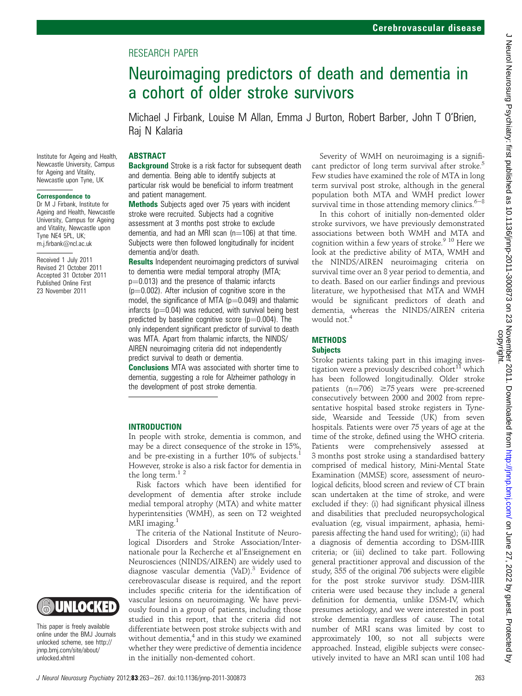# RESEARCH PAPER

# Neuroimaging predictors of death and dementia in a cohort of older stroke survivors

Michael J Firbank, Louise M Allan, Emma J Burton, Robert Barber, John T O'Brien, Raj N Kalaria

#### **ABSTRACT**

**Background** Stroke is a risk factor for subsequent death and dementia. Being able to identify subjects at particular risk would be beneficial to inform treatment and patient management.

Methods Subjects aged over 75 years with incident stroke were recruited. Subjects had a cognitive assessment at 3 months post stroke to exclude dementia, and had an MRI scan  $(n=106)$  at that time. Subjects were then followed longitudinally for incident dementia and/or death.

**Results** Independent neuroimaging predictors of survival to dementia were medial temporal atrophy (MTA;  $p=0.013$ ) and the presence of thalamic infarcts  $(p=0.002)$ . After inclusion of cognitive score in the model, the significance of MTA ( $p=0.049$ ) and thalamic infarcts ( $p=0.04$ ) was reduced, with survival being best predicted by baseline cognitive score  $(p=0.004)$ . The only independent significant predictor of survival to death was MTA. Apart from thalamic infarcts, the NINDS/ AIREN neuroimaging criteria did not independently predict survival to death or dementia.

Conclusions MTA was associated with shorter time to dementia, suggesting a role for Alzheimer pathology in the development of post stroke dementia.

#### INTRODUCTION

In people with stroke, dementia is common, and may be a direct consequence of the stroke in 15%, and be pre-existing in a further  $10\%$  of subjects.<sup>1</sup> However, stroke is also a risk factor for dementia in the long term.<sup>12</sup>

Risk factors which have been identified for development of dementia after stroke include medial temporal atrophy (MTA) and white matter hyperintensities (WMH), as seen on T2 weighted MRI imaging.<sup>1</sup>

The criteria of the National Institute of Neurological Disorders and Stroke Association/Internationale pour la Recherche et al'Enseignement en Neurosciences (NINDS/AIREN) are widely used to diagnose vascular dementia  $(VaD).$ <sup>3</sup> Evidence of cerebrovascular disease is required, and the report includes specific criteria for the identification of vascular lesions on neuroimaging. We have previously found in a group of patients, including those studied in this report, that the criteria did not differentiate between post stroke subjects with and without dementia, $4$  and in this study we examined whether they were predictive of dementia incidence in the initially non-demented cohort.

Severity of WMH on neuroimaging is a significant predictor of long term survival after stroke.<sup>5</sup> Few studies have examined the role of MTA in long term survival post stroke, although in the general population both MTA and WMH predict lower survival time in those attending memory clinics. $6-8$ 

In this cohort of initially non-demented older stroke survivors, we have previously demonstrated associations between both WMH and MTA and cognition within a few years of stroke.<sup>9 10</sup> Here we look at the predictive ability of MTA, WMH and the NINDS/AIREN neuroimaging criteria on survival time over an 8 year period to dementia, and to death. Based on our earlier findings and previous literature, we hypothesised that MTA and WMH would be significant predictors of death and dementia, whereas the NINDS/AIREN criteria would not.<sup>4</sup>

## **METHODS**

#### **Subjects**

Stroke patients taking part in this imaging investigation were a previously described cohort<sup>11</sup> which has been followed longitudinally. Older stroke patients  $(n=706) \ge 75$  years were pre-screened consecutively between 2000 and 2002 from representative hospital based stroke registers in Tyneside, Wearside and Teesside (UK) from seven hospitals. Patients were over 75 years of age at the time of the stroke, defined using the WHO criteria. Patients were comprehensively assessed at 3 months post stroke using a standardised battery comprised of medical history, Mini-Mental State Examination (MMSE) score, assessment of neurological deficits, blood screen and review of CT brain scan undertaken at the time of stroke, and were excluded if they: (i) had significant physical illness and disabilities that precluded neuropsychological evaluation (eg, visual impairment, aphasia, hemiparesis affecting the hand used for writing); (ii) had a diagnosis of dementia according to DSM-IIIR criteria; or (iii) declined to take part. Following general practitioner approval and discussion of the study, 355 of the original 706 subjects were eligible for the post stroke survivor study. DSM-IIIR criteria were used because they include a general definition for dementia, unlike DSM-IV, which presumes aetiology, and we were interested in post stroke dementia regardless of cause. The total number of MRI scans was limited by cost to approximately 100, so not all subjects were approached. Instead, eligible subjects were consecutively invited to have an MRI scan until 108 had

Institute for Ageing and Health, Newcastle University, Campus for Ageing and Vitality, Newcastle upon Tyne, UK

#### Correspondence to

Dr M J Firbank, Institute for Ageing and Health, Newcastle University, Campus for Ageing and Vitality, Newcastle upon Tyne NE4 5PL, UK; m.j.firbank@ncl.ac.uk

Received 1 July 2011 Revised 21 October 2011 Accepted 31 October 2011 Published Online First 23 November 2011



This paper is freely available online under the BMJ Journals unlocked scheme, see http:// jnnp.bmj.com/site/about/ unlocked.xhtml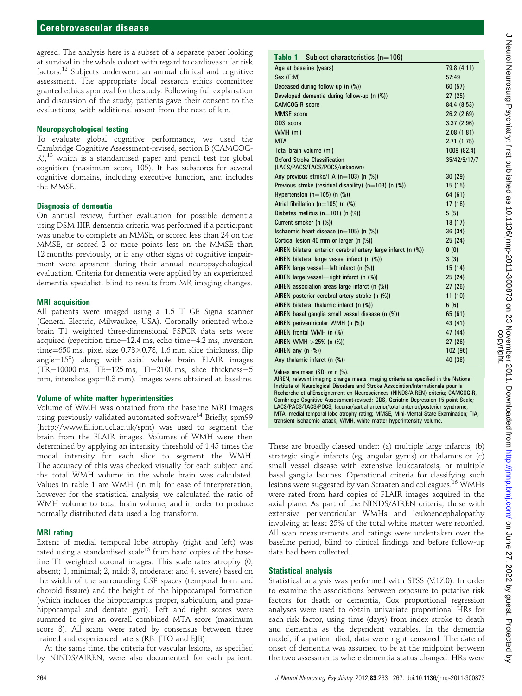agreed. The analysis here is a subset of a separate paper looking at survival in the whole cohort with regard to cardiovascular risk factors.<sup>12</sup> Subjects underwent an annual clinical and cognitive assessment. The appropriate local research ethics committee granted ethics approval for the study. Following full explanation and discussion of the study, patients gave their consent to the evaluations, with additional assent from the next of kin.

#### Neuropsychological testing

To evaluate global cognitive performance, we used the Cambridge Cognitive Assessment-revised, section B (CAMCOG-R),<sup>13</sup> which is a standardised paper and pencil test for global cognition (maximum score, 105). It has subscores for several cognitive domains, including executive function, and includes the MMSE.

#### Diagnosis of dementia

On annual review, further evaluation for possible dementia using DSM-IIIR dementia criteria was performed if a participant was unable to complete an MMSE, or scored less than 24 on the MMSE, or scored 2 or more points less on the MMSE than 12 months previously, or if any other signs of cognitive impairment were apparent during their annual neuropsychological evaluation. Criteria for dementia were applied by an experienced dementia specialist, blind to results from MR imaging changes.

#### MRI acquisition

All patients were imaged using a 1.5 T GE Signa scanner (General Electric, Milwaukee, USA). Coronally oriented whole brain T1 weighted three-dimensional FSPGR data sets were acquired (repetition time= $12.4$  ms, echo time= $4.2$  ms, inversion time=650 ms, pixel size  $0.78\times0.78$ , 1.6 mm slice thickness, flip angle=15°) along with axial whole brain FLAIR images  $(TR=10000 \text{ ms}, TE=125 \text{ ms}, TI=2100 \text{ ms}, \text{slice thickness}=5$ mm, interslice gap=0.3 mm). Images were obtained at baseline.

### Volume of white matter hyperintensities

Volume of WMH was obtained from the baseline MRI images using previously validated automated software<sup>14</sup> Briefly, spm99 (http://www.fil.ion.ucl.ac.uk/spm) was used to segment the brain from the FLAIR images. Volumes of WMH were then determined by applying an intensity threshold of 1.45 times the modal intensity for each slice to segment the WMH. The accuracy of this was checked visually for each subject and the total WMH volume in the whole brain was calculated. Values in table 1 are WMH (in ml) for ease of interpretation, however for the statistical analysis, we calculated the ratio of WMH volume to total brain volume, and in order to produce normally distributed data used a log transform.

### MRI rating

Extent of medial temporal lobe atrophy (right and left) was rated using a standardised scale<sup>15</sup> from hard copies of the baseline T1 weighted coronal images. This scale rates atrophy (0, absent; 1, minimal; 2, mild; 3, moderate; and 4, severe) based on the width of the surrounding CSF spaces (temporal horn and choroid fissure) and the height of the hippocampal formation (which includes the hippocampus proper, subiculum, and parahippocampal and dentate gyri). Left and right scores were summed to give an overall combined MTA score (maximum score 8). All scans were rated by consensus between three trained and experienced raters (RB. JTO and EJB).

At the same time, the criteria for vascular lesions, as specified by NINDS/AIREN, were also documented for each patient.

| <b>Table 1</b> Subject characteristics $(n=106)$                     |              |
|----------------------------------------------------------------------|--------------|
| Age at baseline (years)                                              | 79.8 (4.11)  |
| Sex (F:M)                                                            | 57:49        |
| Deceased during follow-up (n (%))                                    | 60(57)       |
| Developed dementia during follow-up (n (%))                          | 27(25)       |
| <b>CAMCOG-R</b> score                                                | 84.4 (8.53)  |
| <b>MMSE</b> score                                                    | 26.2(2.69)   |
| GDS score                                                            | 3.37(2.96)   |
| WMH (ml)                                                             | 2.08(1.81)   |
| <b>MTA</b>                                                           | 2.71(1.75)   |
| Total brain volume (ml)                                              | 1009 (82.4)  |
| <b>Oxford Stroke Classification</b><br>(LACS/PACS/TACS/POCS/unknown) | 35/42/5/17/7 |
| Any previous stroke/TIA ( $n=103$ ) (n (%))                          | 30(29)       |
| Previous stroke (residual disability) ( $n=103$ ) (n (%))            | 15(15)       |
| Hypertension (n=105) (n $(\%)$ )                                     | 64 (61)      |
| Atrial fibrillation ( $n=105$ ) (n $(\%)$ )                          | 17(16)       |
| Diabetes mellitus ( $n=101$ ) (n $(\%)$ )                            | 5(5)         |
| Current smoker (n (%))                                               | 18 (17)      |
| Ischaemic heart disease $(n=105)$ (n $(\%)$ )                        | 36 (34)      |
| Cortical lesion 40 mm or larger (n (%))                              | 25(24)       |
| AIREN bilateral anterior cerebral artery large infarct (n (%))       | 0(0)         |
| AIREN bilateral large vessel infarct (n (%))                         | 3(3)         |
| AIREN large vessel-left infarct (n (%))                              | 15(14)       |
| AIREN large vessel-right infarct (n (%))                             | 25 (24)      |
| AIREN association areas large infarct (n (%))                        | 27(26)       |
| AIREN posterior cerebral artery stroke (n (%))                       | 11(10)       |
| AIREN bilateral thalamic infarct (n (%))                             | 6(6)         |
| AIREN basal ganglia small vessel disease (n (%))                     | 65 (61)      |
| AIREN periventricular WMH (n (%))                                    | 43 (41)      |
| AIREN frontal WMH (n (%))                                            | 47 (44)      |
| AIREN WMH $>25%$ (n $(\%)$ )                                         | 27 (26)      |
| AIREN any $(n \ (\%)$                                                | 102 (96)     |
| Any thalamic infarct (n (%))                                         | 40 (38)      |

Values are mean (SD) or n (%).

AIREN, relevant imaging change meets imaging criteria as specified in the National Institute of Neurological Disorders and Stroke Association/Internationale pour la Recherche et al'Enseignement en Neurosciences (NINDS/AIREN) criteria; CAMCOG-R, Cambridge Cognitive Assessment-revised; GDS, Geriatric Depression 15 point Scale; LACS/PACS/TACS/POCS, lacunar/partial anterior/total anterior/posterior syndrome; MTA, medial temporal lobe atrophy rating; MMSE, Mini-Mental State Examination; TIA, transient ischaemic attack; WMH, white matter hyperintensity volume.

These are broadly classed under: (a) multiple large infarcts, (b) strategic single infarcts (eg, angular gyrus) or thalamus or (c) small vessel disease with extensive leukoaraiosis, or multiple basal ganglia lacunes. Operational criteria for classifying such lesions were suggested by van Straaten and colleagues.<sup>16</sup> WMHs were rated from hard copies of FLAIR images acquired in the axial plane. As part of the NINDS/AIREN criteria, those with extensive periventricular WMHs and leukoencephalopathy involving at least 25% of the total white matter were recorded. All scan measurements and ratings were undertaken over the baseline period, blind to clinical findings and before follow-up data had been collected.

### Statistical analysis

Statistical analysis was performed with SPSS (V.17.0). In order to examine the associations between exposure to putative risk factors for death or dementia, Cox proportional regression analyses were used to obtain univariate proportional HRs for each risk factor, using time (days) from index stroke to death and dementia as the dependent variables. In the dementia model, if a patient died, data were right censored. The date of onset of dementia was assumed to be at the midpoint between the two assessments where dementia status changed. HRs were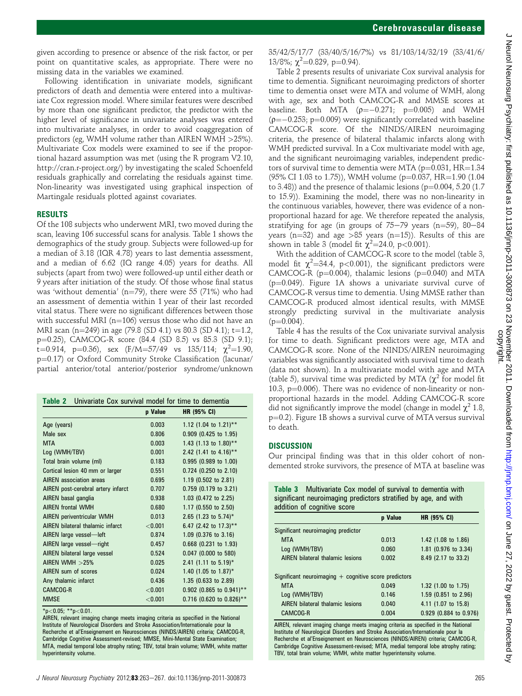given according to presence or absence of the risk factor, or per point on quantitative scales, as appropriate. There were no missing data in the variables we examined.

Following identification in univariate models, significant predictors of death and dementia were entered into a multivariate Cox regression model. Where similar features were described by more than one significant predictor, the predictor with the higher level of significance in univariate analyses was entered into multivariate analyses, in order to avoid coaggregation of predictors (eg, WMH volume rather than AIREN WMH >25%). Multivariate Cox models were examined to see if the proportional hazard assumption was met (using the R program V2.10, http://cran.r-project.org/) by investigating the scaled Schoenfeld residuals graphically and correlating the residuals against time. Non-linearity was investigated using graphical inspection of Martingale residuals plotted against covariates.

#### RESULTS

Of the 108 subjects who underwent MRI, two moved during the scan, leaving 106 successful scans for analysis. Table 1 shows the demographics of the study group. Subjects were followed-up for a median of 3.18 (IQR 4.78) years to last dementia assessment, and a median of 6.62 (IQ range 4.05) years for deaths. All subjects (apart from two) were followed-up until either death or 9 years after initiation of the study. Of those whose final status was 'without dementia' ( $n=79$ ), there were 55 (71%) who had an assessment of dementia within 1 year of their last recorded vital status. There were no significant differences between those with successful MRI ( $n=106$ ) versus those who did not have an MRI scan (n=249) in age (79.8 (SD 4.1) vs 80.3 (SD 4.1); t=1.2, p=0.25), CAMCOG-R score (84.4 (SD 8.5) vs 85.3 (SD 9.1); t=0.914, p=0.36), sex (F/M=57/49 vs 135/114;  $\chi^2$ =1.90,  $p=0.17$ ) or Oxford Community Stroke Classification (lacunar/ partial anterior/total anterior/posterior syndrome/unknown

| Univariate Cox survival model for time to dementia<br>Table 2 |         |                                   |
|---------------------------------------------------------------|---------|-----------------------------------|
|                                                               | p Value | <b>HR (95% CI)</b>                |
| Age (years)                                                   | 0.003   | 1.12 (1.04 to 1.21)**             |
| Male sex                                                      | 0.806   | 0.909 (0.425 to 1.95)             |
| <b>MTA</b>                                                    | 0.003   | 1.43 (1.13 to $1.80$ )**          |
| Log (WMH/TBV)                                                 | 0.001   | 2.42 (1.41 to 4.16)**             |
| Total brain volume (ml)                                       | 0.183   | $0.995$ (0.989 to 1.00)           |
| Cortical lesion 40 mm or larger                               | 0.551   | 0.724 (0.250 to 2.10)             |
| <b>AIREN</b> association areas                                | 0.695   | 1.19 (0.502 to 2.81)              |
| AIREN post-cerebral artery infarct                            | 0.707   | $0.759$ (0.179 to 3.21)           |
| AIREN basal ganglia                                           | 0.938   | 1.03 (0.472 to 2.25)              |
| <b>AIRFN frontal WMH</b>                                      | 0.680   | 1.17 (0.550 to 2.50)              |
| <b>AIREN periventricular WMH</b>                              | 0.013   | 2.65 (1.23 to 5.74)*              |
| AIREN bilateral thalamic infarct                              | < 0.001 | 6.47 (2.42 to 17.3)**             |
| AIREN large vessel-left                                       | 0.874   | 1.09 (0.376 to 3.16)              |
| AIREN large vessel-right                                      | 0.457   | $0.668$ (0.231 to 1.93)           |
| AIREN bilateral large vessel                                  | 0.524   | 0.047 (0.000 to 580)              |
| AIREN WMH $>25%$                                              | 0.025   | 2.41 (1.11 to $5.19$ <sup>*</sup> |
| AIREN sum of scores                                           | 0.024   | 1.40 (1.05 to 1.87)*              |
| Any thalamic infarct                                          | 0.436   | 1.35 (0.633 to 2.89)              |
| CAMCOG-R                                                      | < 0.001 | $0.902$ (0.865 to 0.941)**        |
| <b>MMSE</b>                                                   | < 0.001 | $0.716$ (0.620 to 0.826)**        |

 $*p<0.05$ ;  $*p<0.01$ .

AIREN, relevant imaging change meets imaging criteria as specified in the National Institute of Neurological Disorders and Stroke Association/Internationale pour la Recherche et al'Enseignement en Neurosciences (NINDS/AIREN) criteria; CAMCOG-R, Cambridge Cognitive Assessment-revised; MMSE, Mini-Mental State Examination; MTA, medial temporal lobe atrophy rating; TBV, total brain volume; WMH, white matter hyperintensity volume.

35/42/5/17/7 (33/40/5/16/7%) vs 81/103/14/32/19 (33/41/6/ 13/8%;  $\chi^2$ =0.829, p=0.94).

Table 2 presents results of univariate Cox survival analysis for time to dementia. Significant neuroimaging predictors of shorter time to dementia onset were MTA and volume of WMH, along with age, sex and both CAMCOG-R and MMSE scores at baseline. Both MTA  $(p=-0.271; p=0.005)$  and WMH  $(p=-0.253; p=0.009)$  were significantly correlated with baseline CAMCOG-R score. Of the NINDS/AIREN neuroimaging criteria, the presence of bilateral thalamic infarcts along with WMH predicted survival. In a Cox multivariate model with age, and the significant neuroimaging variables, independent predictors of survival time to dementia were MTA ( $p=0.031$ , HR=1.34  $(95\% \text{ CI } 1.03 \text{ to } 1.75)$ ), WMH volume (p=0.037, HR=1.90 (1.04) to 3.48)) and the presence of thalamic lesions ( $p=0.004, 5.20$  (1.7) to 15.9)). Examining the model, there was no non-linearity in the continuous variables, however, there was evidence of a nonproportional hazard for age. We therefore repeated the analysis, stratifying for age (in groups of  $75-79$  years (n=59), 80-84 years (n=32) and age >85 years (n=15)). Results of this are shown in table 3 (model fit  $\chi^2$ =24.0, p<0.001).

With the addition of CAMCOG-R score to the model (table 3, model fit  $\chi^2$ =34.4, p<0.001), the significant predictors were CAMCOG-R ( $p=0.004$ ), thalamic lesions ( $p=0.040$ ) and MTA  $(p=0.049)$ . Figure 1A shows a univariate survival curve of CAMCOG-R versus time to dementia. Using MMSE rather than CAMCOG-R produced almost identical results, with MMSE strongly predicting survival in the multivariate analysis  $(p=0.004)$ .

Table 4 has the results of the Cox univariate survival analysis for time to death. Significant predictors were age, MTA and CAMCOG-R score. None of the NINDS/AIREN neuroimaging variables was significantly associated with survival time to death (data not shown). In a multivariate model with age and MTA (table 5), survival time was predicted by MTA ( $\chi^2$  for model fit 10.3,  $p=0.006$ ). There was no evidence of non-linearity or nonproportional hazards in the model. Adding CAMCOG-R score did not significantly improve the model (change in model  $\chi^2$  1.8,  $p=0.2$ ). Figure 1B shows a survival curve of MTA versus survival to death.

#### **DISCUSSION**

Our principal finding was that in this older cohort of nondemented stroke survivors, the presence of MTA at baseline was

| <b>Table 3</b> Multivariate Cox model of survival to dementia with |
|--------------------------------------------------------------------|
| significant neuroimaging predictors stratified by age, and with    |
| addition of cognitive score                                        |

|                                                         | p Value | <b>HR (95% CI)</b>             |
|---------------------------------------------------------|---------|--------------------------------|
| Significant neuroimaging predictor                      |         |                                |
| <b>MTA</b>                                              | 0.013   | 1.42 $(1.08 \text{ to } 1.86)$ |
| Log (WMH/TBV)                                           | 0.060   | 1.81 (0.976 to 3.34)           |
| AIREN bilateral thalamic lesions                        | 0.002   | 8.49 (2.17 to 33.2)            |
| Significant neuroimaging $+$ cognitive score predictors |         |                                |
| <b>MTA</b>                                              | 0.049   | 1.32 (1.00 to 1.75)            |
| Log (WMH/TBV)                                           | 0.146   | 1.59 (0.851 to 2.96)           |
| AIREN bilateral thalamic lesions                        | 0.040   | 4.11 (1.07 to 15.8)            |
| CAMCOG-R                                                | 0.004   | 0.929 (0.884 to 0.976)         |

AIREN, relevant imaging change meets imaging criteria as specified in the National Institute of Neurological Disorders and Stroke Association/Internationale pour la Recherche et al'Enseignement en Neurosciences (NINDS/AIREN) criteria; CAMCOG-R, Cambridge Cognitive Assessment-revised; MTA, medial temporal lobe atrophy rating; TBV, total brain volume; WMH, white matter hyperintensity volume.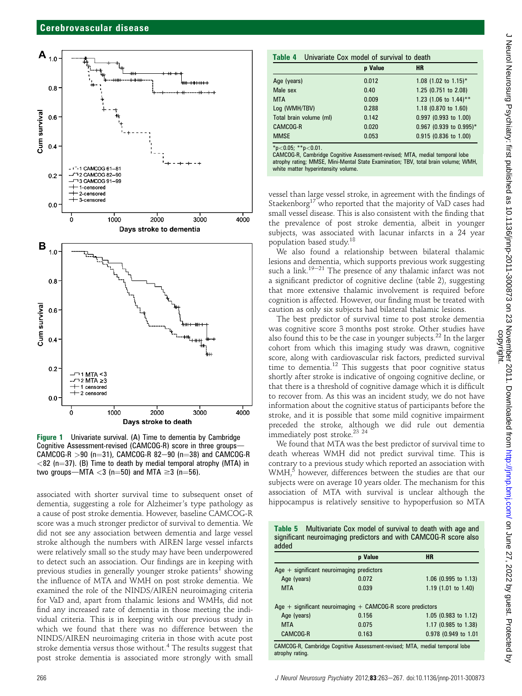

Figure 1 Univariate survival. (A) Time to dementia by Cambridge Cognitive Assessment-revised (CAMCOG-R) score in three groups- $CAMCOG-R > 90$  (n=31), CAMCOG-R 82-90 (n=38) and CAMCOG-R  $<$ 82 (n=37). (B) Time to death by medial temporal atrophy (MTA) in two groups—MTA  $<$ 3 (n=50) and MTA  $\geq$ 3 (n=56).

associated with shorter survival time to subsequent onset of dementia, suggesting a role for Alzheimer's type pathology as a cause of post stroke dementia. However, baseline CAMCOG-R score was a much stronger predictor of survival to dementia. We did not see any association between dementia and large vessel stroke although the numbers with AIREN large vessel infarcts were relatively small so the study may have been underpowered to detect such an association. Our findings are in keeping with previous studies in generally younger stroke patients<sup>1</sup> showing the influence of MTA and WMH on post stroke dementia. We examined the role of the NINDS/AIREN neuroimaging criteria for VaD and, apart from thalamic lesions and WMHs, did not find any increased rate of dementia in those meeting the individual criteria. This is in keeping with our previous study in which we found that there was no difference between the NINDS/AIREN neuroimaging criteria in those with acute post stroke dementia versus those without.<sup>4</sup> The results suggest that post stroke dementia is associated more strongly with small

| p Value                             |       | HR                        |
|-------------------------------------|-------|---------------------------|
|                                     |       |                           |
| Age (years)                         | 0.012 | 1.08 (1.02 to 1.15)*      |
| Male sex                            | 0.40  | 1.25 (0.751 to 2.08)      |
| <b>MTA</b>                          | 0.009 | 1.23 (1.06 to 1.44)**     |
| Log (WMH/TBV)                       | 0.288 | 1.18 (0.870 to 1.60)      |
| Total brain volume (ml)             | 0.142 | 0.997 (0.993 to 1.00)     |
| CAMCOG-R                            | 0.020 | $0.967$ (0.939 to 0.995)* |
| <b>MMSE</b>                         | 0.053 | 0.915 (0.836 to 1.00)     |
| $*_{n}$ / 0 0 $k$ + $*_{n}$ / 0 0 1 |       |                           |

\*p<0.05; \*\*p<0.01. CAMCOG-R, Cambridge Cognitive Assessment-revised; MTA, medial temporal lobe atrophy rating; MMSE, Mini-Mental State Examination; TBV, total brain volume; WMH, white matter hyperintensity volume.

vessel than large vessel stroke, in agreement with the findings of Staekenborg $17$  who reported that the majority of VaD cases had small vessel disease. This is also consistent with the finding that the prevalence of post stroke dementia, albeit in younger subjects, was associated with lacunar infarcts in a 24 year population based study.18

We also found a relationship between bilateral thalamic lesions and dementia, which supports previous work suggesting such a link.<sup>19–21</sup> The presence of any thalamic infarct was not a significant predictor of cognitive decline (table 2), suggesting that more extensive thalamic involvement is required before cognition is affected. However, our finding must be treated with caution as only six subjects had bilateral thalamic lesions.

The best predictor of survival time to post stroke dementia was cognitive score 3 months post stroke. Other studies have also found this to be the case in younger subjects.<sup>22</sup> In the larger cohort from which this imaging study was drawn, cognitive score, along with cardiovascular risk factors, predicted survival time to dementia.<sup>12</sup> This suggests that poor cognitive status shortly after stroke is indicative of ongoing cognitive decline, or that there is a threshold of cognitive damage which it is difficult to recover from. As this was an incident study, we do not have information about the cognitive status of participants before the stroke, and it is possible that some mild cognitive impairment preceded the stroke, although we did rule out dementia immediately post stroke.<sup>23</sup> <sup>24</sup>

We found that MTA was the best predictor of survival time to death whereas WMH did not predict survival time. This is contrary to a previous study which reported an association with WMH,<sup>5</sup> however, differences between the studies are that our subjects were on average 10 years older. The mechanism for this association of MTA with survival is unclear although the hippocampus is relatively sensitive to hypoperfusion so MTA

|       | <b>Table 5</b> Multivariate Cox model of survival to death with age and |
|-------|-------------------------------------------------------------------------|
|       | significant neuroimaging predictors and with CAMCOG-R score also        |
| added |                                                                         |

|                                                                             | p Value | <b>HR</b>            |
|-----------------------------------------------------------------------------|---------|----------------------|
| Age $+$ significant neuroimaging predictors                                 |         |                      |
| Age (years)                                                                 | 0.072   | 1.06 (0.995 to 1.13) |
| <b>MTA</b>                                                                  | 0.039   | 1.19 (1.01 to 1.40)  |
| Age $+$ significant neuroimaging $+$ CAMCOG-R score predictors              |         |                      |
| Age (years)                                                                 | 0.156   | 1.05 (0.983 to 1.12) |
| <b>MTA</b>                                                                  | 0.075   | 1.17 (0.985 to 1.38) |
| CAMCOG-R                                                                    | 0.163   | 0.978 (0.949 to 1.01 |
| CAMCOG-R. Cambridge Cognitive Assessment-revised: MTA, medial temporal lobe |         |                      |

CAMCOG-R, Cambridge Cognitive Assessment-revised; MTA, medial temporal lobe atrophy rating.